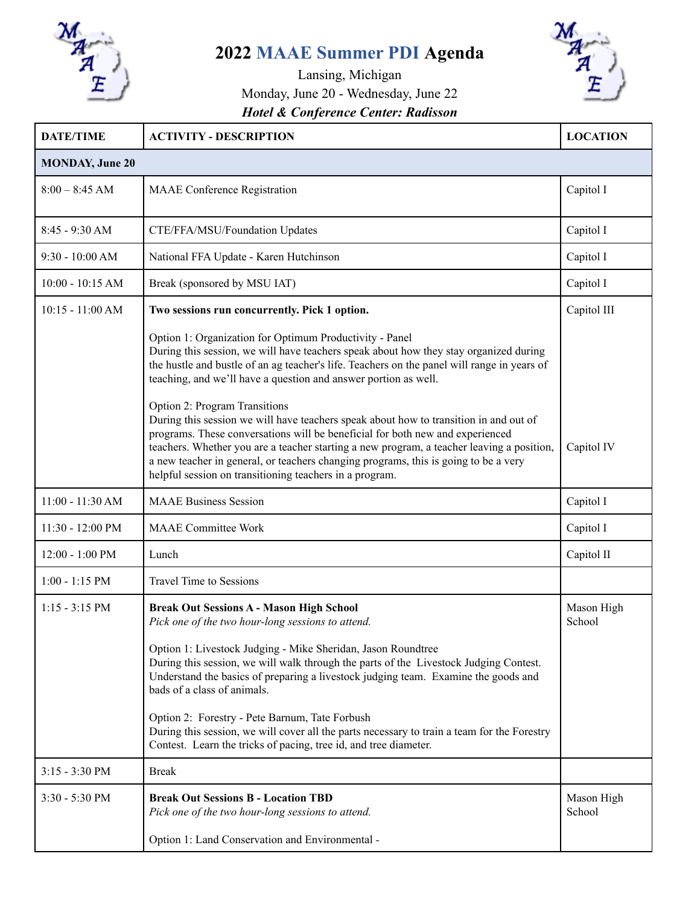

## **2022 MAAE Summer PDI Agenda**



## Lansing, Michigan Monday, June 20 - Wednesday, June 22 *Hotel & Conference Center: Radisson*

| <b>DATE/TIME</b>         | <b>ACTIVITY - DESCRIPTION</b>                                                                                                                                                                                                                                                                                                                                                                                         | <b>LOCATION</b>      |  |  |
|--------------------------|-----------------------------------------------------------------------------------------------------------------------------------------------------------------------------------------------------------------------------------------------------------------------------------------------------------------------------------------------------------------------------------------------------------------------|----------------------|--|--|
| <b>MONDAY, June 20</b>   |                                                                                                                                                                                                                                                                                                                                                                                                                       |                      |  |  |
| $8:00 - 8:45$ AM         | <b>MAAE</b> Conference Registration                                                                                                                                                                                                                                                                                                                                                                                   | Capitol I            |  |  |
| $8:45 - 9:30$ AM         | CTE/FFA/MSU/Foundation Updates                                                                                                                                                                                                                                                                                                                                                                                        | Capitol I            |  |  |
| 9:30 - 10:00 AM          | National FFA Update - Karen Hutchinson                                                                                                                                                                                                                                                                                                                                                                                | Capitol I            |  |  |
| $10:00 - 10:15$ AM       | Break (sponsored by MSU IAT)                                                                                                                                                                                                                                                                                                                                                                                          | Capitol I            |  |  |
| $10:15 - 11:00 AM$       | Two sessions run concurrently. Pick 1 option.                                                                                                                                                                                                                                                                                                                                                                         | Capitol III          |  |  |
|                          | Option 1: Organization for Optimum Productivity - Panel<br>During this session, we will have teachers speak about how they stay organized during<br>the hustle and bustle of an ag teacher's life. Teachers on the panel will range in years of<br>teaching, and we'll have a question and answer portion as well.<br>Option 2: Program Transitions                                                                   |                      |  |  |
|                          | During this session we will have teachers speak about how to transition in and out of<br>programs. These conversations will be beneficial for both new and experienced<br>teachers. Whether you are a teacher starting a new program, a teacher leaving a position,<br>a new teacher in general, or teachers changing programs, this is going to be a very<br>helpful session on transitioning teachers in a program. | Capitol IV           |  |  |
| $11:00 - 11:30 AM$       | <b>MAAE Business Session</b>                                                                                                                                                                                                                                                                                                                                                                                          | Capitol I            |  |  |
| 11:30 - 12:00 PM         | <b>MAAE</b> Committee Work                                                                                                                                                                                                                                                                                                                                                                                            | Capitol I            |  |  |
| 12:00 - 1:00 PM          | Lunch                                                                                                                                                                                                                                                                                                                                                                                                                 | Capitol II           |  |  |
| $1:00 - 1:15$ PM         | <b>Travel Time to Sessions</b>                                                                                                                                                                                                                                                                                                                                                                                        |                      |  |  |
| $1:15 - 3:15 \text{ PM}$ | <b>Break Out Sessions A - Mason High School</b><br>Pick one of the two hour-long sessions to attend.<br>Option 1: Livestock Judging - Mike Sheridan, Jason Roundtree<br>During this session, we will walk through the parts of the Livestock Judging Contest.<br>Understand the basics of preparing a livestock judging team. Examine the goods and<br>bads of a class of animals.                                    | Mason High<br>School |  |  |
|                          | Option 2: Forestry - Pete Barnum, Tate Forbush<br>During this session, we will cover all the parts necessary to train a team for the Forestry<br>Contest. Learn the tricks of pacing, tree id, and tree diameter.                                                                                                                                                                                                     |                      |  |  |
| $3:15 - 3:30$ PM         | <b>Break</b>                                                                                                                                                                                                                                                                                                                                                                                                          |                      |  |  |
| 3:30 - 5:30 PM           | <b>Break Out Sessions B - Location TBD</b><br>Pick one of the two hour-long sessions to attend.                                                                                                                                                                                                                                                                                                                       | Mason High<br>School |  |  |
|                          | Option 1: Land Conservation and Environmental -                                                                                                                                                                                                                                                                                                                                                                       |                      |  |  |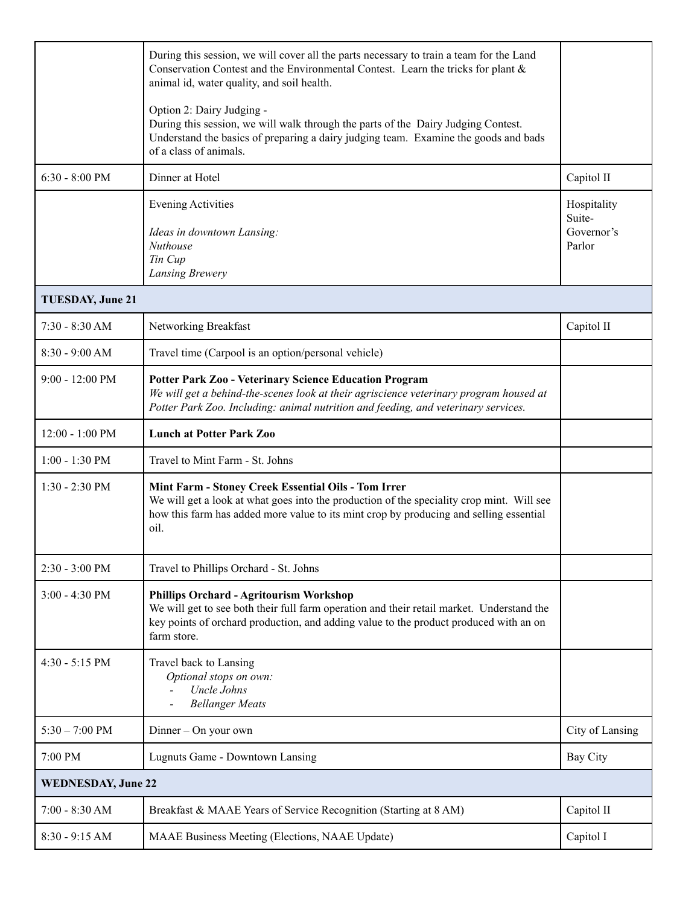|                           | During this session, we will cover all the parts necessary to train a team for the Land<br>Conservation Contest and the Environmental Contest. Learn the tricks for plant &<br>animal id, water quality, and soil health.                           |                                               |  |  |
|---------------------------|-----------------------------------------------------------------------------------------------------------------------------------------------------------------------------------------------------------------------------------------------------|-----------------------------------------------|--|--|
|                           | Option 2: Dairy Judging -<br>During this session, we will walk through the parts of the Dairy Judging Contest.<br>Understand the basics of preparing a dairy judging team. Examine the goods and bads<br>of a class of animals.                     |                                               |  |  |
| $6:30 - 8:00$ PM          | Dinner at Hotel                                                                                                                                                                                                                                     | Capitol II                                    |  |  |
|                           | <b>Evening Activities</b><br>Ideas in downtown Lansing:<br><b>Nuthouse</b><br>Tin Cup<br>Lansing Brewery                                                                                                                                            | Hospitality<br>Suite-<br>Governor's<br>Parlor |  |  |
| <b>TUESDAY, June 21</b>   |                                                                                                                                                                                                                                                     |                                               |  |  |
| $7:30 - 8:30 AM$          | Networking Breakfast                                                                                                                                                                                                                                | Capitol II                                    |  |  |
| $8:30 - 9:00 AM$          | Travel time (Carpool is an option/personal vehicle)                                                                                                                                                                                                 |                                               |  |  |
| $9:00 - 12:00 \text{ PM}$ | <b>Potter Park Zoo - Veterinary Science Education Program</b><br>We will get a behind-the-scenes look at their agriscience veterinary program housed at<br>Potter Park Zoo. Including: animal nutrition and feeding, and veterinary services.       |                                               |  |  |
| $12:00 - 1:00 \text{ PM}$ | <b>Lunch at Potter Park Zoo</b>                                                                                                                                                                                                                     |                                               |  |  |
| $1:00 - 1:30$ PM          | Travel to Mint Farm - St. Johns                                                                                                                                                                                                                     |                                               |  |  |
| $1:30 - 2:30$ PM          | Mint Farm - Stoney Creek Essential Oils - Tom Irrer<br>We will get a look at what goes into the production of the speciality crop mint. Will see<br>how this farm has added more value to its mint crop by producing and selling essential<br>oil.  |                                               |  |  |
| 2:30 - 3:00 PM            | Travel to Phillips Orchard - St. Johns                                                                                                                                                                                                              |                                               |  |  |
| $3:00 - 4:30$ PM          | <b>Phillips Orchard - Agritourism Workshop</b><br>We will get to see both their full farm operation and their retail market. Understand the<br>key points of orchard production, and adding value to the product produced with an on<br>farm store. |                                               |  |  |
| $4:30 - 5:15$ PM          | Travel back to Lansing<br>Optional stops on own:<br>Uncle Johns<br><b>Bellanger Meats</b>                                                                                                                                                           |                                               |  |  |
| $5:30 - 7:00 \text{ PM}$  | Dinner - On your own                                                                                                                                                                                                                                | City of Lansing                               |  |  |
| 7:00 PM                   | Lugnuts Game - Downtown Lansing                                                                                                                                                                                                                     | Bay City                                      |  |  |
| <b>WEDNESDAY, June 22</b> |                                                                                                                                                                                                                                                     |                                               |  |  |
| $7:00 - 8:30 AM$          | Breakfast & MAAE Years of Service Recognition (Starting at 8 AM)                                                                                                                                                                                    | Capitol II                                    |  |  |
| 8:30 - 9:15 AM            | MAAE Business Meeting (Elections, NAAE Update)                                                                                                                                                                                                      | Capitol I                                     |  |  |